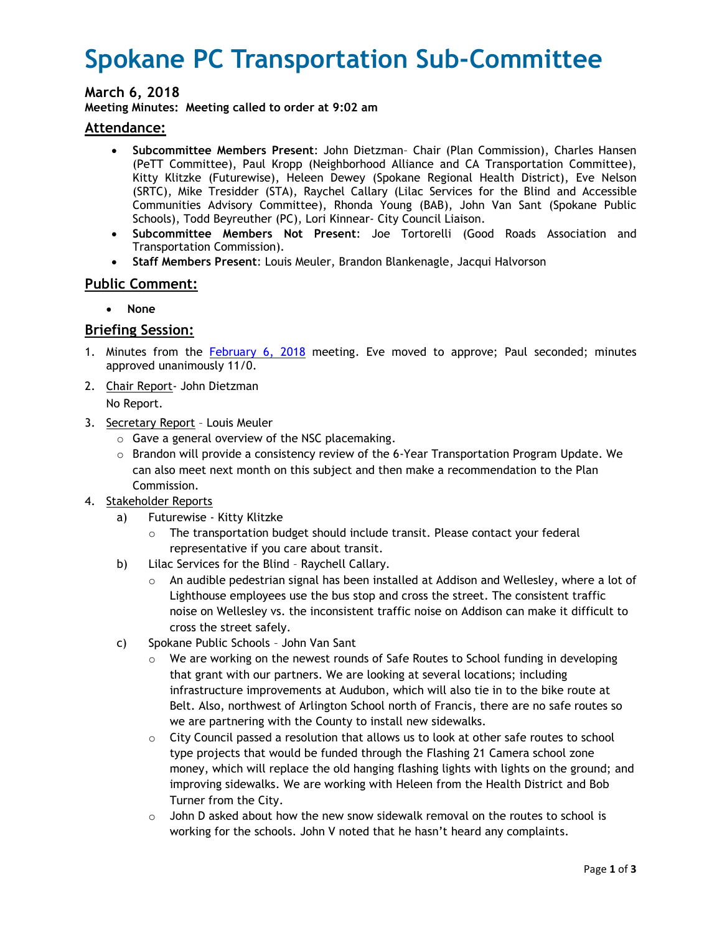# **Spokane PC Transportation Sub-Committee**

# **March 6, 2018**

**Meeting Minutes: Meeting called to order at 9:02 am**

## **Attendance:**

- **Subcommittee Members Present**: John Dietzman– Chair (Plan Commission), Charles Hansen (PeTT Committee), Paul Kropp (Neighborhood Alliance and CA Transportation Committee), Kitty Klitzke (Futurewise), Heleen Dewey (Spokane Regional Health District), Eve Nelson (SRTC), Mike Tresidder (STA), Raychel Callary (Lilac Services for the Blind and Accessible Communities Advisory Committee), Rhonda Young (BAB), John Van Sant (Spokane Public Schools), Todd Beyreuther (PC), Lori Kinnear- City Council Liaison.
- **Subcommittee Members Not Present**: Joe Tortorelli (Good Roads Association and Transportation Commission).
- **Staff Members Present**: Louis Meuler, Brandon Blankenagle, Jacqui Halvorson

# **Public Comment:**

**None** 

## **Briefing Session:**

- 1. Minutes from the February 6, 2018 meeting. Eve moved to approve; Paul seconded; minutes approved unanimously 11/0.
- 2. Chair Report- John Dietzman

No Report.

- 3. Secretary Report Louis Meuler
	- o Gave a general overview of the NSC placemaking.
	- $\circ$  Brandon will provide a consistency review of the 6-Year Transportation Program Update. We can also meet next month on this subject and then make a recommendation to the Plan Commission.
- 4. Stakeholder Reports
	- a) Futurewise Kitty Klitzke
		- $\circ$  The transportation budget should include transit. Please contact your federal representative if you care about transit.
	- b) Lilac Services for the Blind Raychell Callary.
		- $\circ$  An audible pedestrian signal has been installed at Addison and Wellesley, where a lot of Lighthouse employees use the bus stop and cross the street. The consistent traffic noise on Wellesley vs. the inconsistent traffic noise on Addison can make it difficult to cross the street safely.
	- c) Spokane Public Schools John Van Sant
		- $\circ$  We are working on the newest rounds of Safe Routes to School funding in developing that grant with our partners. We are looking at several locations; including infrastructure improvements at Audubon, which will also tie in to the bike route at Belt. Also, northwest of Arlington School north of Francis, there are no safe routes so we are partnering with the County to install new sidewalks.
		- $\circ$  City Council passed a resolution that allows us to look at other safe routes to school type projects that would be funded through the Flashing 21 Camera school zone money, which will replace the old hanging flashing lights with lights on the ground; and improving sidewalks. We are working with Heleen from the Health District and Bob Turner from the City.
		- $\circ$  John D asked about how the new snow sidewalk removal on the routes to school is working for the schools. John V noted that he hasn't heard any complaints.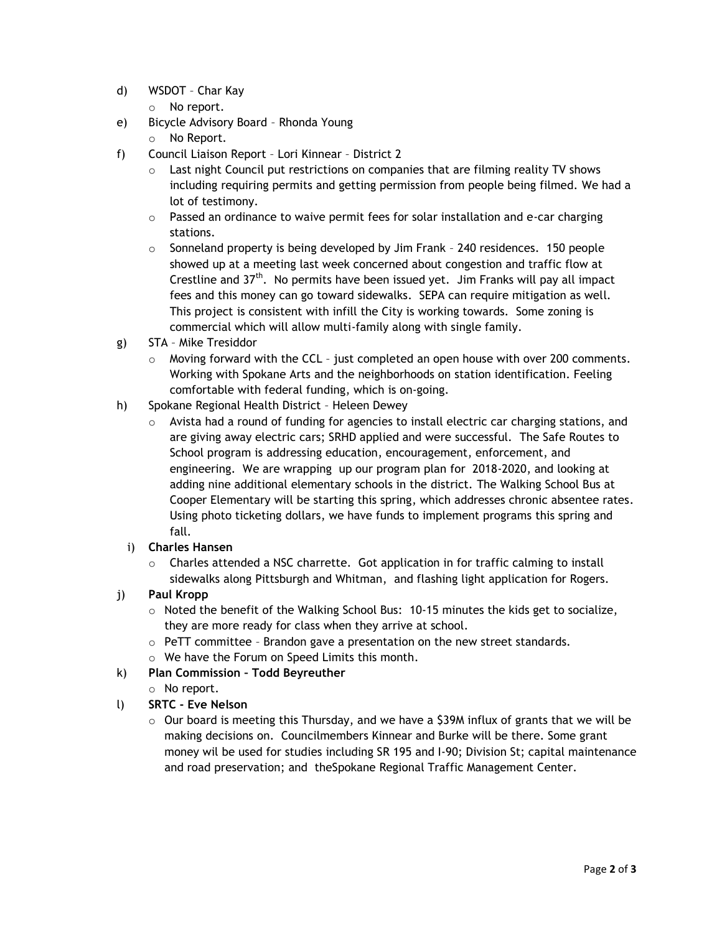- d) WSDOT Char Kay
	- o No report.
- e) Bicycle Advisory Board Rhonda Young
	- o No Report.
- f) Council Liaison Report Lori Kinnear District 2
	- $\circ$  Last night Council put restrictions on companies that are filming reality TV shows including requiring permits and getting permission from people being filmed. We had a lot of testimony.
	- $\circ$  Passed an ordinance to waive permit fees for solar installation and e-car charging stations.
	- $\circ$  Sonneland property is being developed by Jim Frank 240 residences. 150 people showed up at a meeting last week concerned about congestion and traffic flow at Crestline and  $37<sup>th</sup>$ . No permits have been issued yet. Jim Franks will pay all impact fees and this money can go toward sidewalks. SEPA can require mitigation as well. This project is consistent with infill the City is working towards. Some zoning is commercial which will allow multi-family along with single family.
- g) STA Mike Tresiddor
	- $\circ$  Moving forward with the CCL just completed an open house with over 200 comments. Working with Spokane Arts and the neighborhoods on station identification. Feeling comfortable with federal funding, which is on-going.
- h) Spokane Regional Health District Heleen Dewey
	- $\circ$  Avista had a round of funding for agencies to install electric car charging stations, and are giving away electric cars; SRHD applied and were successful. The Safe Routes to School program is addressing education, encouragement, enforcement, and engineering. We are wrapping up our program plan for 2018-2020, and looking at adding nine additional elementary schools in the district. The Walking School Bus at Cooper Elementary will be starting this spring, which addresses chronic absentee rates. Using photo ticketing dollars, we have funds to implement programs this spring and fall.
	- i) **Charles Hansen**
		- $\circ$  Charles attended a NSC charrette. Got application in for traffic calming to install sidewalks along Pittsburgh and Whitman, and flashing light application for Rogers.
- j) **Paul Kropp** 
	- $\circ$  Noted the benefit of the Walking School Bus: 10-15 minutes the kids get to socialize, they are more ready for class when they arrive at school.
	- o PeTT committee Brandon gave a presentation on the new street standards.
	- o We have the Forum on Speed Limits this month.
- k) **Plan Commission – Todd Beyreuther**
	- o No report.
- l) **SRTC - Eve Nelson** 
	- $\circ$  Our board is meeting this Thursday, and we have a \$39M influx of grants that we will be making decisions on. Councilmembers Kinnear and Burke will be there. Some grant money wil be used for studies including SR 195 and I-90; Division St; capital maintenance and road preservation; and theSpokane Regional Traffic Management Center.